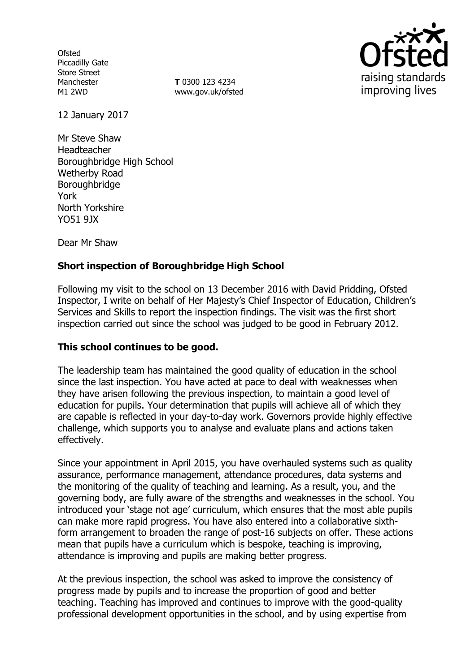**Ofsted** Piccadilly Gate Store Street Manchester M1 2WD

**T** 0300 123 4234 www.gov.uk/ofsted



12 January 2017

Mr Steve Shaw Headteacher Boroughbridge High School Wetherby Road Boroughbridge York North Yorkshire YO51 9JX

Dear Mr Shaw

## **Short inspection of Boroughbridge High School**

Following my visit to the school on 13 December 2016 with David Pridding, Ofsted Inspector, I write on behalf of Her Majesty's Chief Inspector of Education, Children's Services and Skills to report the inspection findings. The visit was the first short inspection carried out since the school was judged to be good in February 2012.

### **This school continues to be good.**

The leadership team has maintained the good quality of education in the school since the last inspection. You have acted at pace to deal with weaknesses when they have arisen following the previous inspection, to maintain a good level of education for pupils. Your determination that pupils will achieve all of which they are capable is reflected in your day-to-day work. Governors provide highly effective challenge, which supports you to analyse and evaluate plans and actions taken effectively.

Since your appointment in April 2015, you have overhauled systems such as quality assurance, performance management, attendance procedures, data systems and the monitoring of the quality of teaching and learning. As a result, you, and the governing body, are fully aware of the strengths and weaknesses in the school. You introduced your 'stage not age' curriculum, which ensures that the most able pupils can make more rapid progress. You have also entered into a collaborative sixthform arrangement to broaden the range of post-16 subjects on offer. These actions mean that pupils have a curriculum which is bespoke, teaching is improving, attendance is improving and pupils are making better progress.

At the previous inspection, the school was asked to improve the consistency of progress made by pupils and to increase the proportion of good and better teaching. Teaching has improved and continues to improve with the good-quality professional development opportunities in the school, and by using expertise from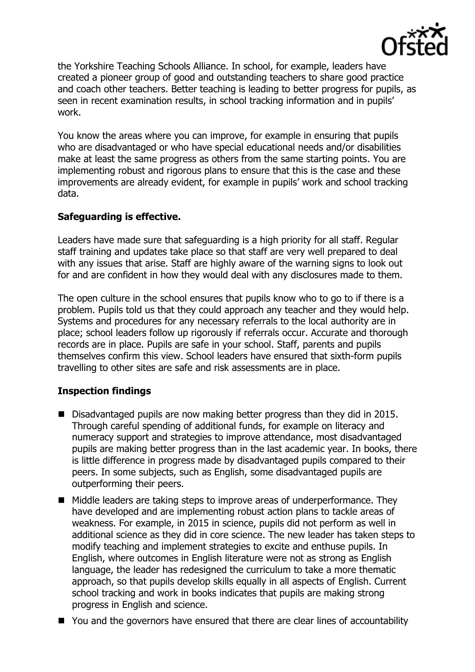

the Yorkshire Teaching Schools Alliance. In school, for example, leaders have created a pioneer group of good and outstanding teachers to share good practice and coach other teachers. Better teaching is leading to better progress for pupils, as seen in recent examination results, in school tracking information and in pupils' work.

You know the areas where you can improve, for example in ensuring that pupils who are disadvantaged or who have special educational needs and/or disabilities make at least the same progress as others from the same starting points. You are implementing robust and rigorous plans to ensure that this is the case and these improvements are already evident, for example in pupils' work and school tracking data.

## **Safeguarding is effective.**

Leaders have made sure that safeguarding is a high priority for all staff. Regular staff training and updates take place so that staff are very well prepared to deal with any issues that arise. Staff are highly aware of the warning signs to look out for and are confident in how they would deal with any disclosures made to them.

The open culture in the school ensures that pupils know who to go to if there is a problem. Pupils told us that they could approach any teacher and they would help. Systems and procedures for any necessary referrals to the local authority are in place; school leaders follow up rigorously if referrals occur. Accurate and thorough records are in place. Pupils are safe in your school. Staff, parents and pupils themselves confirm this view. School leaders have ensured that sixth-form pupils travelling to other sites are safe and risk assessments are in place.

# **Inspection findings**

- Disadvantaged pupils are now making better progress than they did in 2015. Through careful spending of additional funds, for example on literacy and numeracy support and strategies to improve attendance, most disadvantaged pupils are making better progress than in the last academic year. In books, there is little difference in progress made by disadvantaged pupils compared to their peers. In some subjects, such as English, some disadvantaged pupils are outperforming their peers.
- Middle leaders are taking steps to improve areas of underperformance. They have developed and are implementing robust action plans to tackle areas of weakness. For example, in 2015 in science, pupils did not perform as well in additional science as they did in core science. The new leader has taken steps to modify teaching and implement strategies to excite and enthuse pupils. In English, where outcomes in English literature were not as strong as English language, the leader has redesigned the curriculum to take a more thematic approach, so that pupils develop skills equally in all aspects of English. Current school tracking and work in books indicates that pupils are making strong progress in English and science.
- You and the governors have ensured that there are clear lines of accountability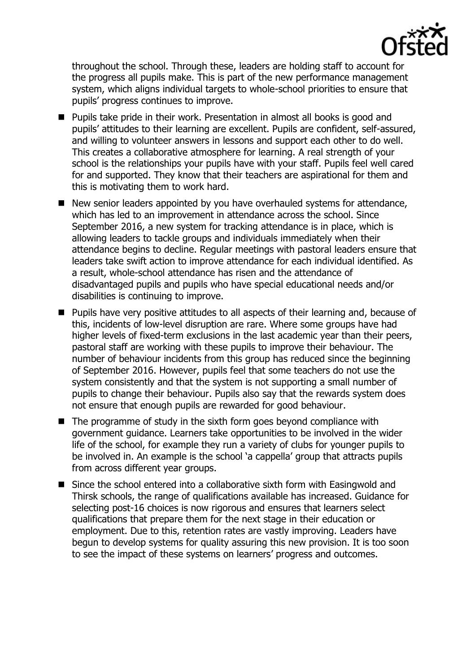

throughout the school. Through these, leaders are holding staff to account for the progress all pupils make. This is part of the new performance management system, which aligns individual targets to whole-school priorities to ensure that pupils' progress continues to improve.

- Pupils take pride in their work. Presentation in almost all books is good and pupils' attitudes to their learning are excellent. Pupils are confident, self-assured, and willing to volunteer answers in lessons and support each other to do well. This creates a collaborative atmosphere for learning. A real strength of your school is the relationships your pupils have with your staff. Pupils feel well cared for and supported. They know that their teachers are aspirational for them and this is motivating them to work hard.
- New senior leaders appointed by you have overhauled systems for attendance, which has led to an improvement in attendance across the school. Since September 2016, a new system for tracking attendance is in place, which is allowing leaders to tackle groups and individuals immediately when their attendance begins to decline. Regular meetings with pastoral leaders ensure that leaders take swift action to improve attendance for each individual identified. As a result, whole-school attendance has risen and the attendance of disadvantaged pupils and pupils who have special educational needs and/or disabilities is continuing to improve.
- **Pupils have very positive attitudes to all aspects of their learning and, because of** this, incidents of low-level disruption are rare. Where some groups have had higher levels of fixed-term exclusions in the last academic year than their peers, pastoral staff are working with these pupils to improve their behaviour. The number of behaviour incidents from this group has reduced since the beginning of September 2016. However, pupils feel that some teachers do not use the system consistently and that the system is not supporting a small number of pupils to change their behaviour. Pupils also say that the rewards system does not ensure that enough pupils are rewarded for good behaviour.
- $\blacksquare$  The programme of study in the sixth form goes beyond compliance with government guidance. Learners take opportunities to be involved in the wider life of the school, for example they run a variety of clubs for younger pupils to be involved in. An example is the school 'a cappella' group that attracts pupils from across different year groups.
- Since the school entered into a collaborative sixth form with Easingwold and Thirsk schools, the range of qualifications available has increased. Guidance for selecting post-16 choices is now rigorous and ensures that learners select qualifications that prepare them for the next stage in their education or employment. Due to this, retention rates are vastly improving. Leaders have begun to develop systems for quality assuring this new provision. It is too soon to see the impact of these systems on learners' progress and outcomes.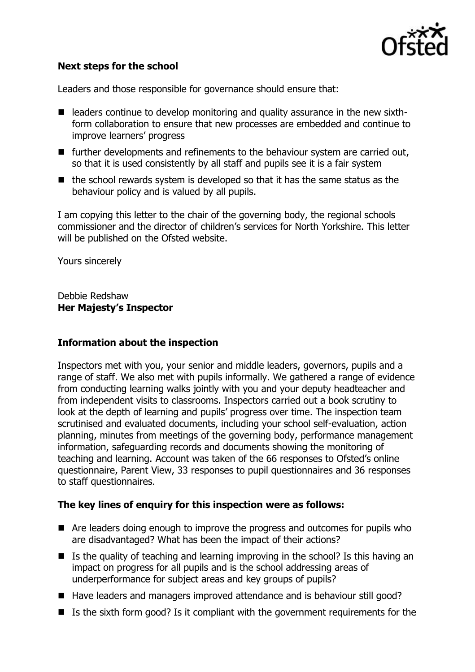

### **Next steps for the school**

Leaders and those responsible for governance should ensure that:

- $\blacksquare$  leaders continue to develop monitoring and quality assurance in the new sixthform collaboration to ensure that new processes are embedded and continue to improve learners' progress
- further developments and refinements to the behaviour system are carried out, so that it is used consistently by all staff and pupils see it is a fair system
- $\blacksquare$  the school rewards system is developed so that it has the same status as the behaviour policy and is valued by all pupils.

I am copying this letter to the chair of the governing body, the regional schools commissioner and the director of children's services for North Yorkshire. This letter will be published on the Ofsted website.

Yours sincerely

Debbie Redshaw **Her Majesty's Inspector**

### **Information about the inspection**

Inspectors met with you, your senior and middle leaders, governors, pupils and a range of staff. We also met with pupils informally. We gathered a range of evidence from conducting learning walks jointly with you and your deputy headteacher and from independent visits to classrooms. Inspectors carried out a book scrutiny to look at the depth of learning and pupils' progress over time. The inspection team scrutinised and evaluated documents, including your school self-evaluation, action planning, minutes from meetings of the governing body, performance management information, safeguarding records and documents showing the monitoring of teaching and learning. Account was taken of the 66 responses to Ofsted's online questionnaire, Parent View, 33 responses to pupil questionnaires and 36 responses to staff questionnaires.

### **The key lines of enquiry for this inspection were as follows:**

- Are leaders doing enough to improve the progress and outcomes for pupils who are disadvantaged? What has been the impact of their actions?
- $\blacksquare$  Is the quality of teaching and learning improving in the school? Is this having an impact on progress for all pupils and is the school addressing areas of underperformance for subject areas and key groups of pupils?
- Have leaders and managers improved attendance and is behaviour still good?
- $\blacksquare$  Is the sixth form good? Is it compliant with the government requirements for the